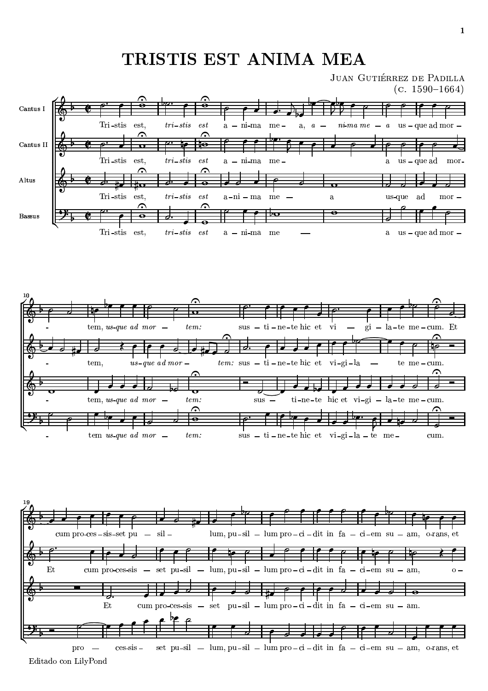## -









 $\cdots$